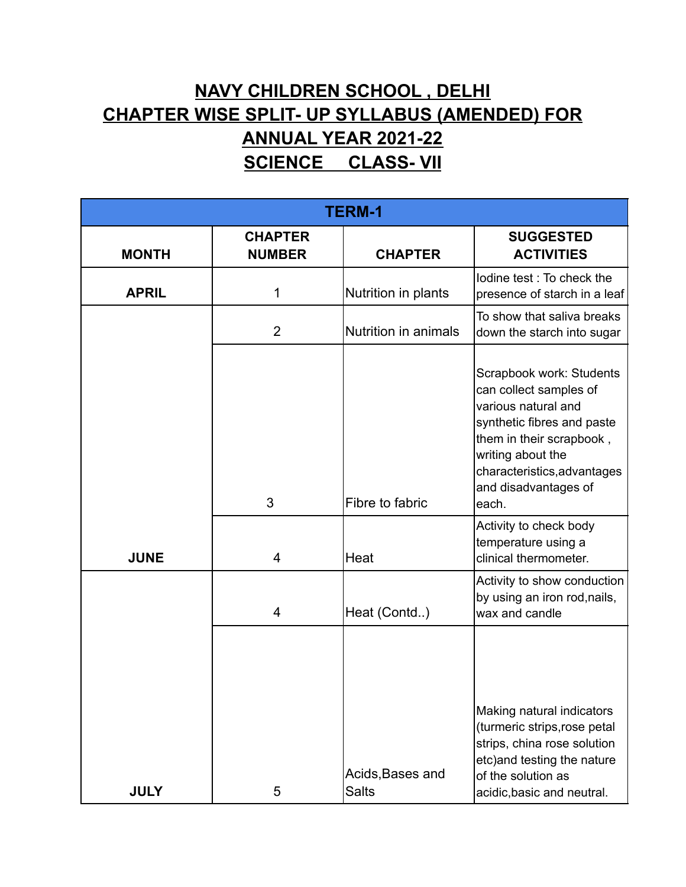## **NAVY CHILDREN SCHOOL , DELHI CHAPTER WISE SPLIT- UP SYLLABUS (AMENDED) FOR ANNUAL YEAR 2021-22 SCIENCE CLASS- VII**

| <b>TERM-1</b> |                                 |                                  |                                                                                                                                                                                                                          |  |
|---------------|---------------------------------|----------------------------------|--------------------------------------------------------------------------------------------------------------------------------------------------------------------------------------------------------------------------|--|
| <b>MONTH</b>  | <b>CHAPTER</b><br><b>NUMBER</b> | <b>CHAPTER</b>                   | <b>SUGGESTED</b><br><b>ACTIVITIES</b>                                                                                                                                                                                    |  |
| <b>APRIL</b>  | 1                               | Nutrition in plants              | lodine test: To check the<br>presence of starch in a leaf                                                                                                                                                                |  |
|               | $\overline{2}$                  | Nutrition in animals             | To show that saliva breaks<br>down the starch into sugar                                                                                                                                                                 |  |
|               | 3                               | Fibre to fabric                  | Scrapbook work: Students<br>can collect samples of<br>various natural and<br>synthetic fibres and paste<br>them in their scrapbook,<br>writing about the<br>characteristics, advantages<br>and disadvantages of<br>each. |  |
| <b>JUNE</b>   | $\overline{4}$                  | Heat                             | Activity to check body<br>temperature using a<br>clinical thermometer.                                                                                                                                                   |  |
|               | 4                               | Heat (Contd)                     | Activity to show conduction<br>by using an iron rod, nails,<br>wax and candle                                                                                                                                            |  |
| <b>JULY</b>   | 5                               | Acids, Bases and<br><b>Salts</b> | Making natural indicators<br>(turmeric strips, rose petal<br>strips, china rose solution<br>etc) and testing the nature<br>of the solution as<br>acidic, basic and neutral.                                              |  |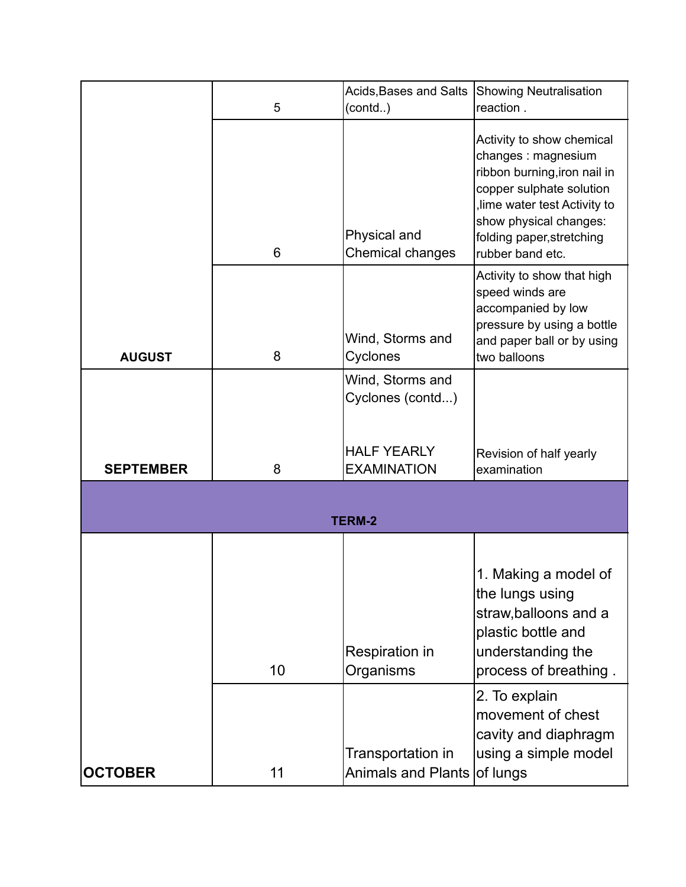|                  | 5  | Acids, Bases and Salts<br>(contd)                | Showing Neutralisation<br>reaction.                                                                                                                                                                                    |
|------------------|----|--------------------------------------------------|------------------------------------------------------------------------------------------------------------------------------------------------------------------------------------------------------------------------|
|                  | 6  | Physical and<br>Chemical changes                 | Activity to show chemical<br>changes : magnesium<br>ribbon burning, iron nail in<br>copper sulphate solution<br>lime water test Activity to<br>show physical changes:<br>folding paper, stretching<br>rubber band etc. |
| <b>AUGUST</b>    | 8  | Wind, Storms and<br>Cyclones                     | Activity to show that high<br>speed winds are<br>accompanied by low<br>pressure by using a bottle<br>and paper ball or by using<br>two balloons                                                                        |
|                  |    | Wind, Storms and<br>Cyclones (contd)             |                                                                                                                                                                                                                        |
|                  |    |                                                  |                                                                                                                                                                                                                        |
| <b>SEPTEMBER</b> | 8  | <b>HALF YEARLY</b><br><b>EXAMINATION</b>         | Revision of half yearly<br>examination                                                                                                                                                                                 |
|                  |    | <b>TERM-2</b>                                    |                                                                                                                                                                                                                        |
|                  |    |                                                  |                                                                                                                                                                                                                        |
|                  | 10 | Respiration in<br>Organisms                      | 1. Making a model of<br>the lungs using<br>straw, balloons and a<br>plastic bottle and<br>understanding the<br>process of breathing.                                                                                   |
| <b>OCTOBER</b>   | 11 | Transportation in<br>Animals and Plants of lungs | 2. To explain<br>movement of chest<br>cavity and diaphragm<br>using a simple model                                                                                                                                     |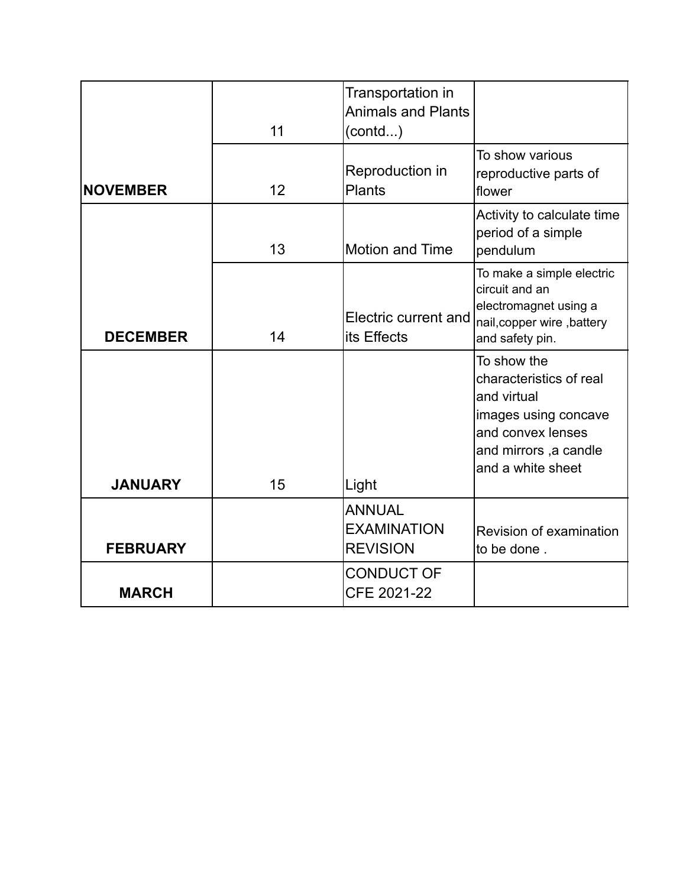|                 | 11 | Transportation in<br><b>Animals and Plants</b><br>(contd) |                                                                                                                                                  |
|-----------------|----|-----------------------------------------------------------|--------------------------------------------------------------------------------------------------------------------------------------------------|
| <b>NOVEMBER</b> | 12 | Reproduction in<br><b>Plants</b>                          | To show various<br>reproductive parts of<br>flower                                                                                               |
|                 | 13 | <b>Motion and Time</b>                                    | Activity to calculate time<br>period of a simple<br>pendulum                                                                                     |
| <b>DECEMBER</b> | 14 | Electric current and<br>lits Effects                      | To make a simple electric<br>circuit and an<br>electromagnet using a<br>nail, copper wire, battery<br>and safety pin.                            |
| <b>JANUARY</b>  | 15 | Light                                                     | To show the<br>characteristics of real<br>and virtual<br>images using concave<br>and convex lenses<br>and mirrors, a candle<br>and a white sheet |
|                 |    | <b>ANNUAL</b>                                             |                                                                                                                                                  |
| <b>FEBRUARY</b> |    | <b>EXAMINATION</b><br><b>REVISION</b>                     | Revision of examination<br>to be done.                                                                                                           |
| <b>MARCH</b>    |    | <b>CONDUCT OF</b><br>CFE 2021-22                          |                                                                                                                                                  |